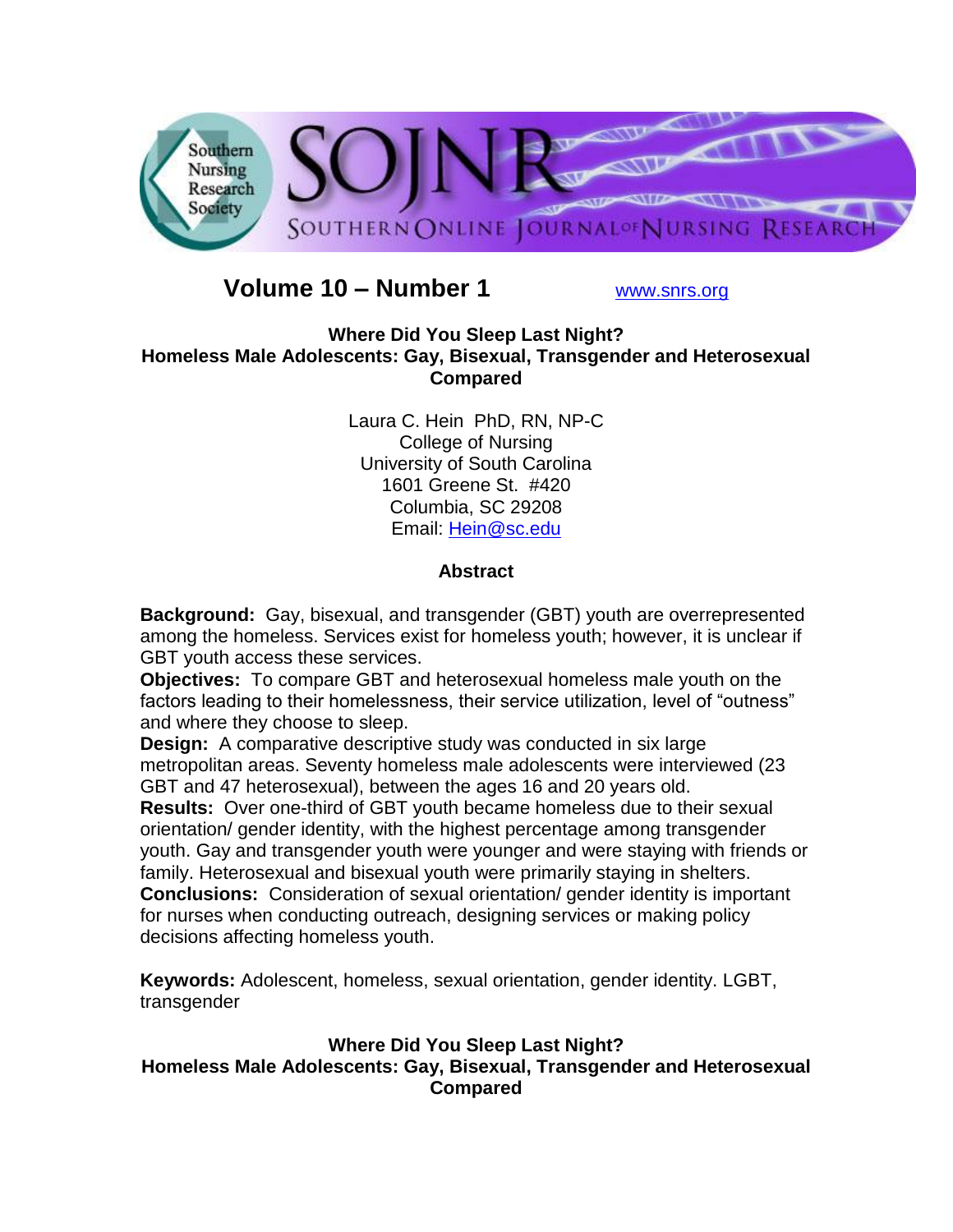

# **Volume 10 – Number 1** [www.snrs.org](http://www.snrs.org/)

## **Where Did You Sleep Last Night? Homeless Male Adolescents: Gay, Bisexual, Transgender and Heterosexual Compared**

Laura C. Hein PhD, RN, NP-C College of Nursing University of South Carolina 1601 Greene St. #420 Columbia, SC 29208 Email: [Hein@sc.edu](mailto:Hein@sc.edu)

# **Abstract**

**Background:** Gay, bisexual, and transgender (GBT) youth are overrepresented among the homeless. Services exist for homeless youth; however, it is unclear if GBT youth access these services.

**Objectives:** To compare GBT and heterosexual homeless male youth on the factors leading to their homelessness, their service utilization, level of "outness" and where they choose to sleep.

**Design:** A comparative descriptive study was conducted in six large metropolitan areas. Seventy homeless male adolescents were interviewed (23 GBT and 47 heterosexual), between the ages 16 and 20 years old.

**Results:** Over one-third of GBT youth became homeless due to their sexual orientation/ gender identity, with the highest percentage among transgender youth. Gay and transgender youth were younger and were staying with friends or family. Heterosexual and bisexual youth were primarily staying in shelters. **Conclusions:** Consideration of sexual orientation/ gender identity is important for nurses when conducting outreach, designing services or making policy decisions affecting homeless youth.

**Keywords:** Adolescent, homeless, sexual orientation, gender identity. LGBT, transgender

# **Where Did You Sleep Last Night? Homeless Male Adolescents: Gay, Bisexual, Transgender and Heterosexual Compared**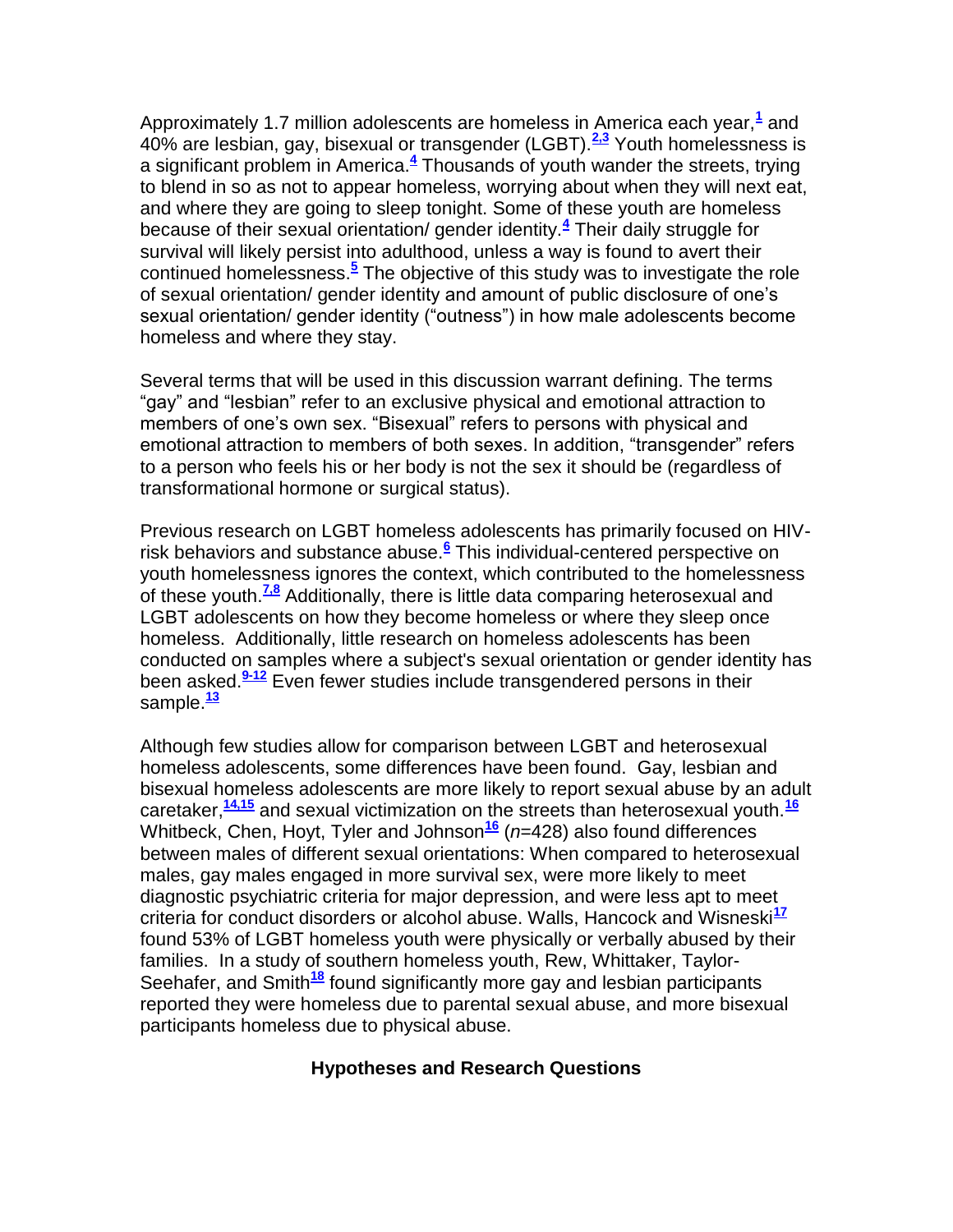Approximately [1](http://snrs.org/publications/SOJNR_articles2/n).7 million adolescents are homeless in America each year,<sup>1</sup> and 40% are lesbian, gay, bisexual or transgender (LGBT).**[2,3](http://snrs.org/publications/SOJNR_articles2/n)** Youth homelessness is a significant problem in America.**[4](http://snrs.org/publications/SOJNR_articles2/n)** Thousands of youth wander the streets, trying to blend in so as not to appear homeless, worrying about when they will next eat, and where they are going to sleep tonight. Some of these youth are homeless because of their sexual orientation/ gender identity.**[4](http://snrs.org/publications/SOJNR_articles2/n)** Their daily struggle for survival will likely persist into adulthood, unless a way is found to avert their continued homelessness.**[5](http://snrs.org/publications/SOJNR_articles2/n)** The objective of this study was to investigate the role of sexual orientation/ gender identity and amount of public disclosure of one's sexual orientation/ gender identity ("outness") in how male adolescents become homeless and where they stay.

Several terms that will be used in this discussion warrant defining. The terms "gay" and "lesbian" refer to an exclusive physical and emotional attraction to members of one's own sex. "Bisexual" refers to persons with physical and emotional attraction to members of both sexes. In addition, "transgender" refers to a person who feels his or her body is not the sex it should be (regardless of transformational hormone or surgical status).

Previous research on LGBT homeless adolescents has primarily focused on HIVrisk behaviors and substance abuse.**[6](http://snrs.org/publications/SOJNR_articles2/n)** This individual-centered perspective on youth homelessness ignores the context, which contributed to the homelessness of these youth.**[7,8](http://snrs.org/publications/SOJNR_articles2/n)** Additionally, there is little data comparing heterosexual and LGBT adolescents on how they become homeless or where they sleep once homeless. Additionally, little research on homeless adolescents has been conducted on samples where a subject's sexual orientation or gender identity has been asked.**[9-12](http://snrs.org/publications/SOJNR_articles2/n)** Even fewer studies include transgendered persons in their sample.**[13](http://snrs.org/publications/SOJNR_articles2/n)**

Although few studies allow for comparison between LGBT and heterosexual homeless adolescents, some differences have been found. Gay, lesbian and bisexual homeless adolescents are more likely to report sexual abuse by an adult caretaker,**[14,15](http://snrs.org/publications/SOJNR_articles2/n)** and sexual victimization on the streets than heterosexual youth.**[16](http://snrs.org/publications/SOJNR_articles2/n)** Whitbeck, Chen, Hoyt, Tyler and Johnson<sup>[16](http://snrs.org/publications/SOJNR_articles2/n)</sup> (*n*=428) also found differences between males of different sexual orientations: When compared to heterosexual males, gay males engaged in more survival sex, were more likely to meet diagnostic psychiatric criteria for major depression, and were less apt to meet criteria for conduct disorders or alcohol abuse. Walls, Hancock and Wisneski**[17](http://snrs.org/publications/SOJNR_articles2/n)** found 53% of LGBT homeless youth were physically or verbally abused by their families. In a study of southern homeless youth, Rew, Whittaker, Taylor-Seehafer, and Smith**[18](http://snrs.org/publications/SOJNR_articles2/n)** found significantly more gay and lesbian participants reported they were homeless due to parental sexual abuse, and more bisexual participants homeless due to physical abuse.

## **Hypotheses and Research Questions**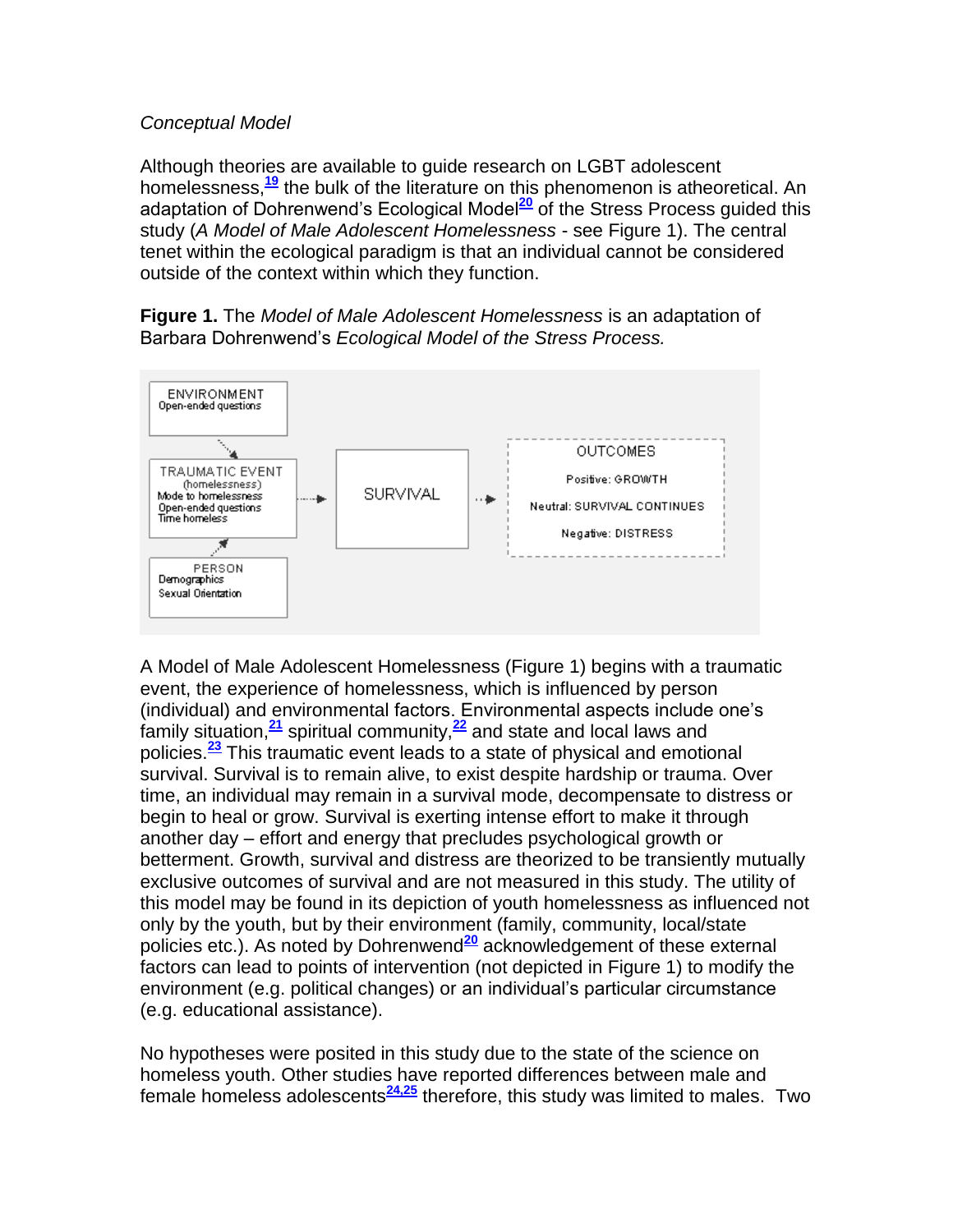## *Conceptual Model*

Although theories are available to guide research on LGBT adolescent homelessness,**[19](http://snrs.org/publications/SOJNR_articles2/n)** the bulk of the literature on this phenomenon is atheoretical. An adaptation of Dohrenwend's Ecological Model**[20](http://snrs.org/publications/SOJNR_articles2/n)** of the Stress Process guided this study (*A Model of Male Adolescent Homelessness* - see Figure 1). The central tenet within the ecological paradigm is that an individual cannot be considered outside of the context within which they function.

**Figure 1.** The *Model of Male Adolescent Homelessness* is an adaptation of Barbara Dohrenwend's *Ecological Model of the Stress Process.*



A Model of Male Adolescent Homelessness (Figure 1) begins with a traumatic event, the experience of homelessness, which is influenced by person (individual) and environmental factors. Environmental aspects include one's family situation,**[21](http://snrs.org/publications/SOJNR_articles2/n)** spiritual community,**[22](http://snrs.org/publications/SOJNR_articles2/n)** and state and local laws and policies.**[23](http://snrs.org/publications/SOJNR_articles2/n)** This traumatic event leads to a state of physical and emotional survival. Survival is to remain alive, to exist despite hardship or trauma. Over time, an individual may remain in a survival mode, decompensate to distress or begin to heal or grow. Survival is exerting intense effort to make it through another day – effort and energy that precludes psychological growth or betterment. Growth, survival and distress are theorized to be transiently mutually exclusive outcomes of survival and are not measured in this study. The utility of this model may be found in its depiction of youth homelessness as influenced not only by the youth, but by their environment (family, community, local/state policies etc.). As noted by Dohrenwend**[20](http://snrs.org/publications/SOJNR_articles2/n)** acknowledgement of these external factors can lead to points of intervention (not depicted in Figure 1) to modify the environment (e.g. political changes) or an individual's particular circumstance (e.g. educational assistance).

No hypotheses were posited in this study due to the state of the science on homeless youth. Other studies have reported differences between male and female homeless adolescents**[24,25](http://snrs.org/publications/SOJNR_articles2/n)** therefore, this study was limited to males. Two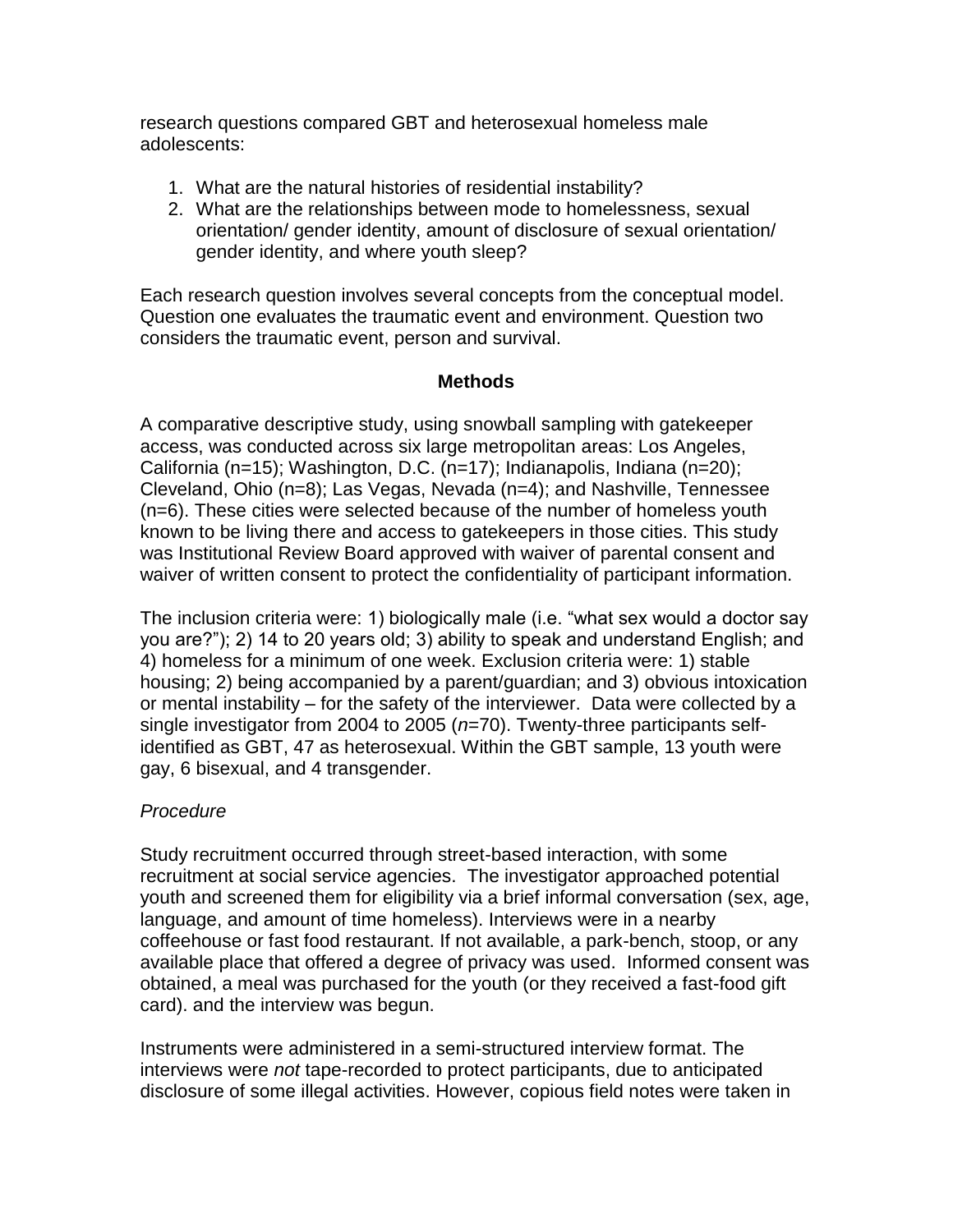research questions compared GBT and heterosexual homeless male adolescents:

- 1. What are the natural histories of residential instability?
- 2. What are the relationships between mode to homelessness, sexual orientation/ gender identity, amount of disclosure of sexual orientation/ gender identity, and where youth sleep?

Each research question involves several concepts from the conceptual model. Question one evaluates the traumatic event and environment. Question two considers the traumatic event, person and survival.

#### **Methods**

A comparative descriptive study, using snowball sampling with gatekeeper access, was conducted across six large metropolitan areas: Los Angeles, California (n=15); Washington, D.C. (n=17); Indianapolis, Indiana (n=20); Cleveland, Ohio (n=8); Las Vegas, Nevada (n=4); and Nashville, Tennessee (n=6). These cities were selected because of the number of homeless youth known to be living there and access to gatekeepers in those cities. This study was Institutional Review Board approved with waiver of parental consent and waiver of written consent to protect the confidentiality of participant information.

The inclusion criteria were: 1) biologically male (i.e. "what sex would a doctor say you are?"); 2) 14 to 20 years old; 3) ability to speak and understand English; and 4) homeless for a minimum of one week. Exclusion criteria were: 1) stable housing; 2) being accompanied by a parent/guardian; and 3) obvious intoxication or mental instability – for the safety of the interviewer. Data were collected by a single investigator from 2004 to 2005 (*n*=70). Twenty-three participants selfidentified as GBT, 47 as heterosexual. Within the GBT sample, 13 youth were gay, 6 bisexual, and 4 transgender.

## *Procedure*

Study recruitment occurred through street-based interaction, with some recruitment at social service agencies. The investigator approached potential youth and screened them for eligibility via a brief informal conversation (sex, age, language, and amount of time homeless). Interviews were in a nearby coffeehouse or fast food restaurant. If not available, a park-bench, stoop, or any available place that offered a degree of privacy was used. Informed consent was obtained, a meal was purchased for the youth (or they received a fast-food gift card). and the interview was begun.

Instruments were administered in a semi-structured interview format. The interviews were *not* tape-recorded to protect participants, due to anticipated disclosure of some illegal activities. However, copious field notes were taken in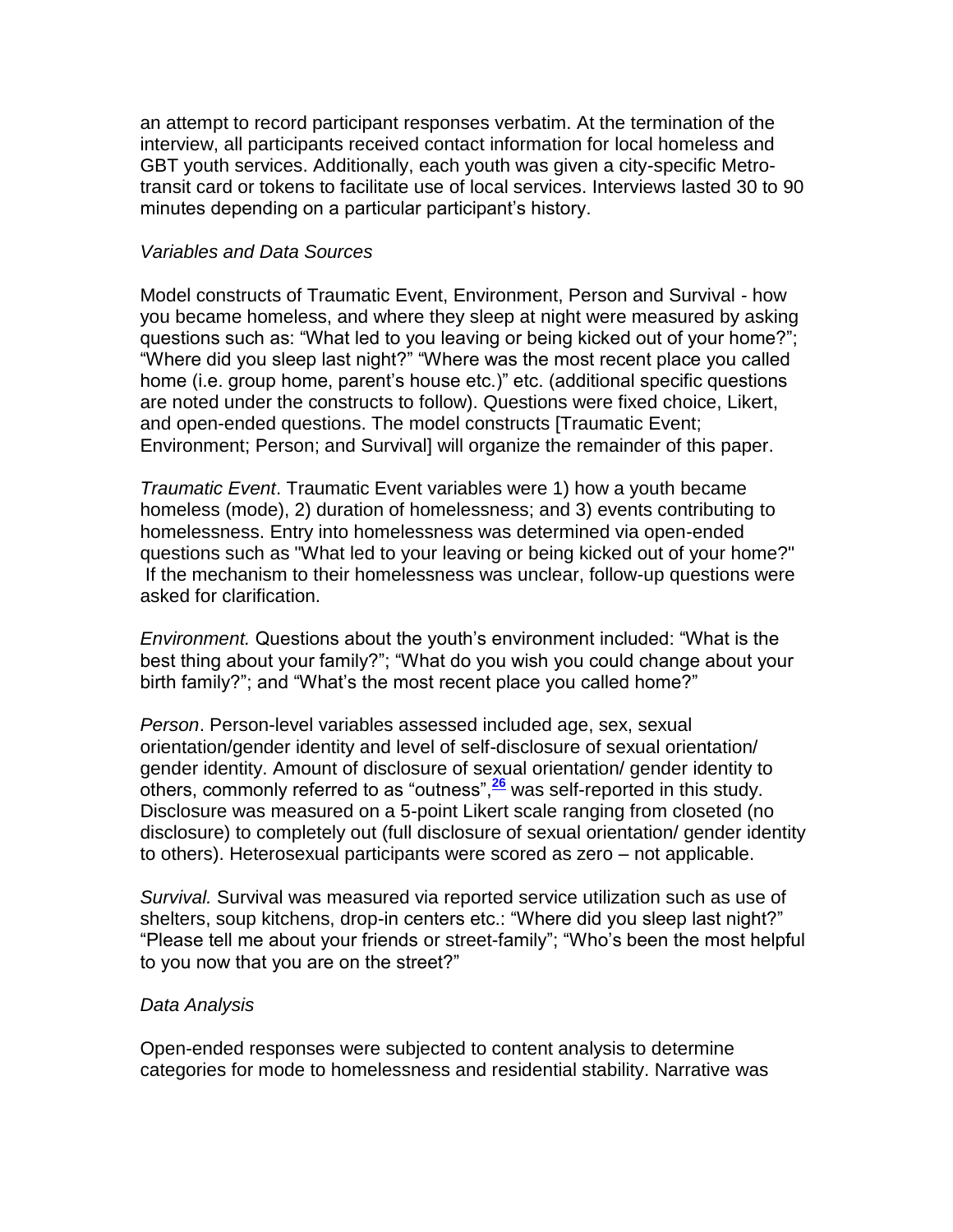an attempt to record participant responses verbatim. At the termination of the interview, all participants received contact information for local homeless and GBT youth services. Additionally, each youth was given a city-specific Metrotransit card or tokens to facilitate use of local services. Interviews lasted 30 to 90 minutes depending on a particular participant's history.

#### *Variables and Data Sources*

Model constructs of Traumatic Event, Environment, Person and Survival - how you became homeless, and where they sleep at night were measured by asking questions such as: "What led to you leaving or being kicked out of your home?"; "Where did you sleep last night?" "Where was the most recent place you called home (i.e. group home, parent's house etc.)" etc. (additional specific questions are noted under the constructs to follow). Questions were fixed choice, Likert, and open-ended questions. The model constructs [Traumatic Event; Environment; Person; and Survival] will organize the remainder of this paper.

*Traumatic Event*. Traumatic Event variables were 1) how a youth became homeless (mode), 2) duration of homelessness; and 3) events contributing to homelessness. Entry into homelessness was determined via open-ended questions such as "What led to your leaving or being kicked out of your home?" If the mechanism to their homelessness was unclear, follow-up questions were asked for clarification.

*Environment.* Questions about the youth's environment included: "What is the best thing about your family?"; "What do you wish you could change about your birth family?"; and "What's the most recent place you called home?"

*Person*. Person-level variables assessed included age, sex, sexual orientation/gender identity and level of self-disclosure of sexual orientation/ gender identity. Amount of disclosure of sexual orientation/ gender identity to others, commonly referred to as "outness",**[26](http://snrs.org/publications/SOJNR_articles2/n)** was self-reported in this study. Disclosure was measured on a 5-point Likert scale ranging from closeted (no disclosure) to completely out (full disclosure of sexual orientation/ gender identity to others). Heterosexual participants were scored as zero – not applicable.

*Survival.* Survival was measured via reported service utilization such as use of shelters, soup kitchens, drop-in centers etc.: "Where did you sleep last night?" "Please tell me about your friends or street-family"; "Who's been the most helpful to you now that you are on the street?"

## *Data Analysis*

Open-ended responses were subjected to content analysis to determine categories for mode to homelessness and residential stability. Narrative was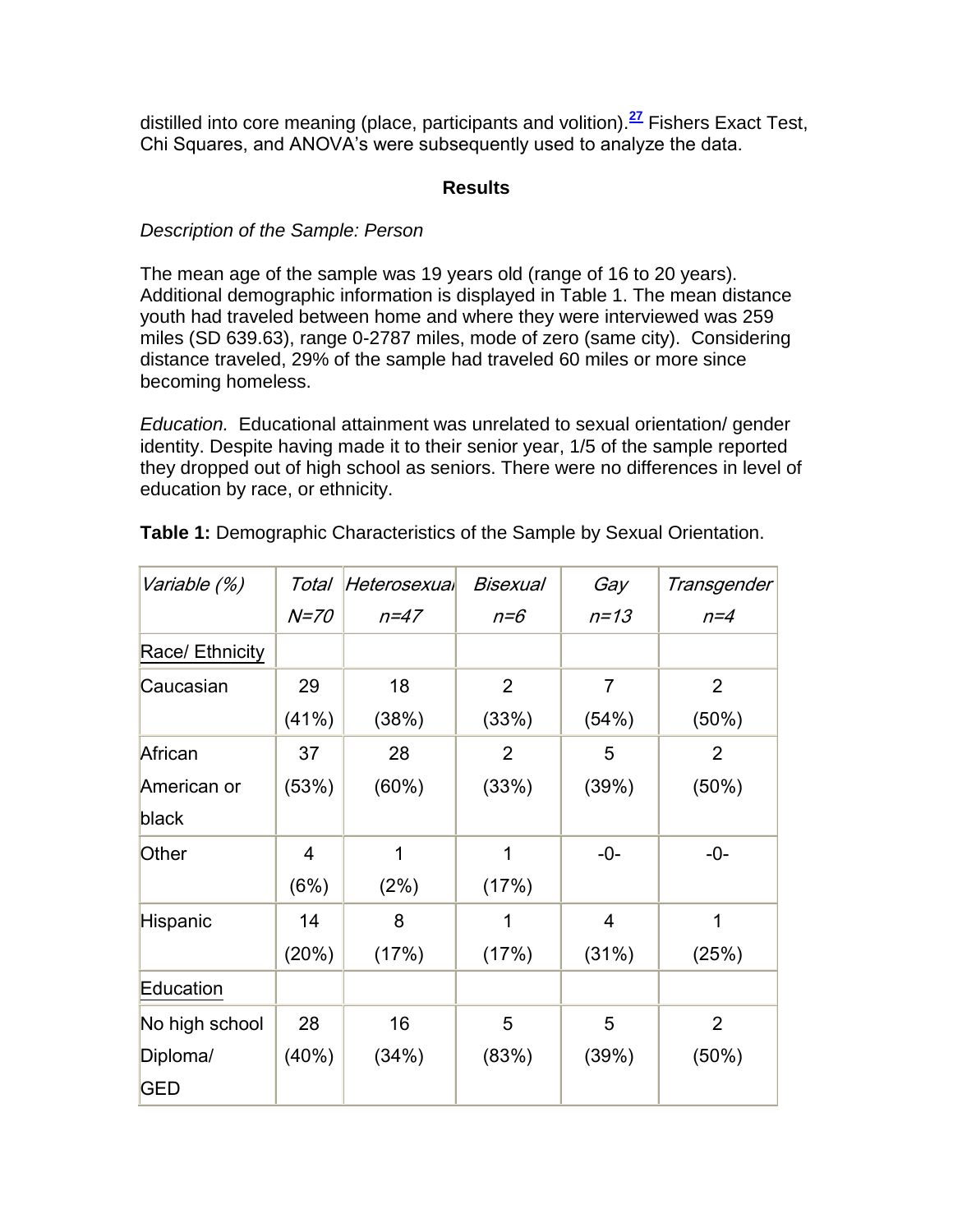distilled into core meaning (place, participants and volition).**[27](http://snrs.org/publications/SOJNR_articles2/n)** Fishers Exact Test, Chi Squares, and ANOVA's were subsequently used to analyze the data.

# **Results**

## *Description of the Sample: Person*

The mean age of the sample was 19 years old (range of 16 to 20 years). Additional demographic information is displayed in Table 1. The mean distance youth had traveled between home and where they were interviewed was 259 miles (SD 639.63), range 0-2787 miles, mode of zero (same city). Considering distance traveled, 29% of the sample had traveled 60 miles or more since becoming homeless.

*Education.* Educational attainment was unrelated to sexual orientation/ gender identity. Despite having made it to their senior year, 1/5 of the sample reported they dropped out of high school as seniors. There were no differences in level of education by race, or ethnicity.

| Variable (%)    | Total          | Heterosexual | <b>Bisexual</b> | Gay            | Transgender    |  |
|-----------------|----------------|--------------|-----------------|----------------|----------------|--|
|                 | $N=70$         | $n=47$       | $n = 6$         | $n = 13$       | $n=4$          |  |
| Race/ Ethnicity |                |              |                 |                |                |  |
| Caucasian       | 29             | 18           | $\overline{2}$  | $\overline{7}$ | $\overline{2}$ |  |
|                 | (41%)          | (38%)        | (33%)           | (54%)          | (50%)          |  |
| African         | 37             | 28           | 2               | 5              | $\overline{2}$ |  |
| American or     | (53%)          | $(60\%)$     | (33%)           | (39%)          | (50%)          |  |
| black           |                |              |                 |                |                |  |
| Other           | $\overline{4}$ | 1            | 1               | $-0-$          | $-0-$          |  |
|                 | (6%)           | (2%)         | (17%)           |                |                |  |
| Hispanic        | 14             | 8            | 1               | $\overline{4}$ | 1              |  |
|                 | (20%)          | (17%)        | (17%)           | (31%)          | (25%)          |  |
| Education       |                |              |                 |                |                |  |
| No high school  | 28             | 16           | 5               | 5              | $\overline{2}$ |  |
| Diploma/        | (40%)          | (34%)        | (83%)           | (39%)          | (50%)          |  |
| <b>GED</b>      |                |              |                 |                |                |  |

**Table 1:** Demographic Characteristics of the Sample by Sexual Orientation.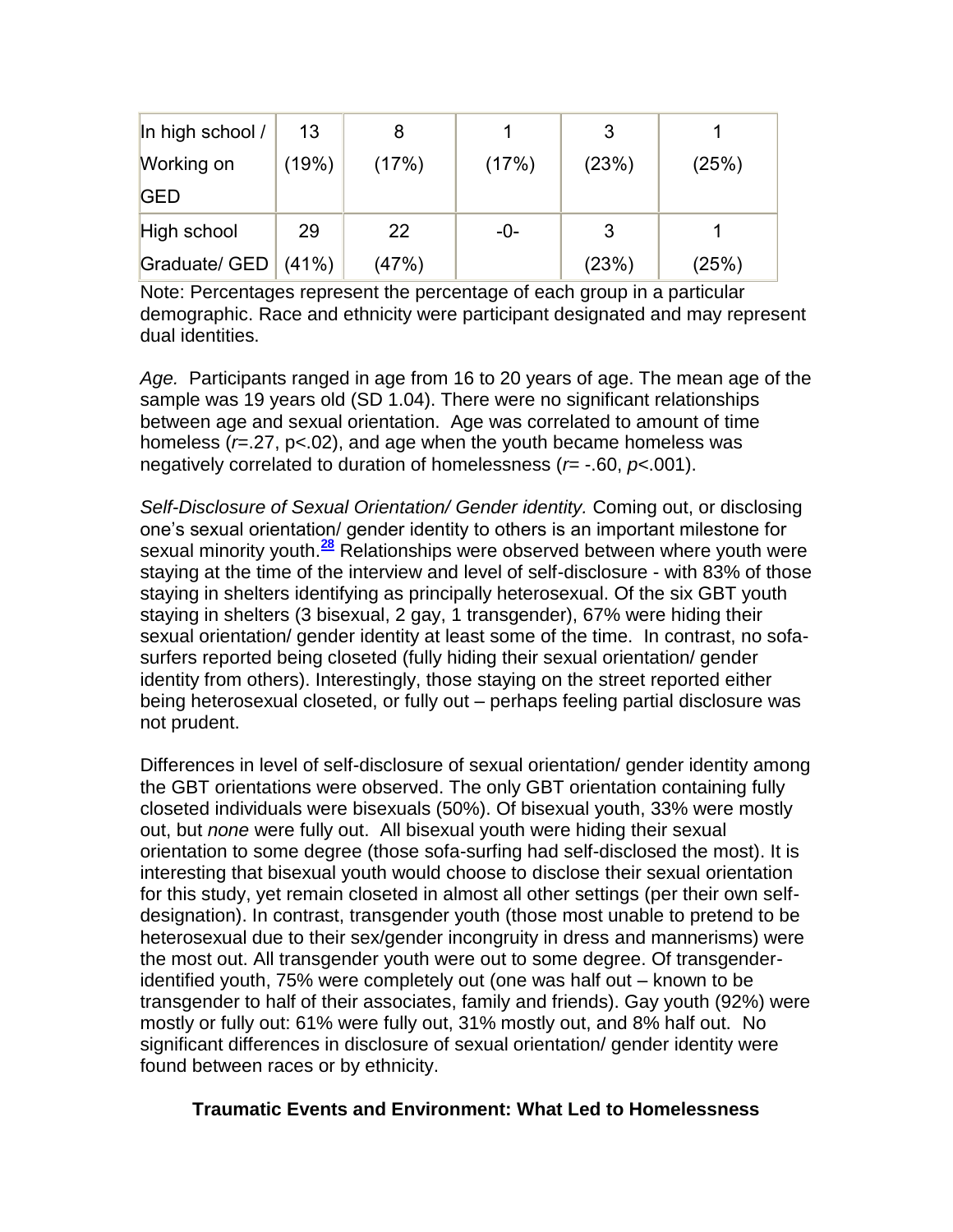| In high school / | 13    | 8     |       |       |       |
|------------------|-------|-------|-------|-------|-------|
| Working on       | (19%) | (17%) | (17%) | (23%) | (25%) |
| <b>GED</b>       |       |       |       |       |       |
| High school      | 29    | 22    | $-0-$ |       |       |
| Graduate/ GED    | (41%) | (47%) |       | (23%) | (25%) |

Note: Percentages represent the percentage of each group in a particular demographic. Race and ethnicity were participant designated and may represent dual identities.

*Age.* Participants ranged in age from 16 to 20 years of age. The mean age of the sample was 19 years old (SD 1.04). There were no significant relationships between age and sexual orientation. Age was correlated to amount of time homeless (*r*=.27, p<.02), and age when the youth became homeless was negatively correlated to duration of homelessness (*r*= -.60, *p*<.001).

*Self-Disclosure of Sexual Orientation/ Gender identity.* Coming out, or disclosing one's sexual orientation/ gender identity to others is an important milestone for sexual minority youth.**[28](http://snrs.org/publications/SOJNR_articles2/n)** Relationships were observed between where youth were staying at the time of the interview and level of self-disclosure - with 83% of those staying in shelters identifying as principally heterosexual. Of the six GBT youth staying in shelters (3 bisexual, 2 gay, 1 transgender), 67% were hiding their sexual orientation/ gender identity at least some of the time. In contrast, no sofasurfers reported being closeted (fully hiding their sexual orientation/ gender identity from others). Interestingly, those staying on the street reported either being heterosexual closeted, or fully out – perhaps feeling partial disclosure was not prudent.

Differences in level of self-disclosure of sexual orientation/ gender identity among the GBT orientations were observed. The only GBT orientation containing fully closeted individuals were bisexuals (50%). Of bisexual youth, 33% were mostly out, but *none* were fully out. All bisexual youth were hiding their sexual orientation to some degree (those sofa-surfing had self-disclosed the most). It is interesting that bisexual youth would choose to disclose their sexual orientation for this study, yet remain closeted in almost all other settings (per their own selfdesignation). In contrast, transgender youth (those most unable to pretend to be heterosexual due to their sex/gender incongruity in dress and mannerisms) were the most out. All transgender youth were out to some degree. Of transgenderidentified youth, 75% were completely out (one was half out – known to be transgender to half of their associates, family and friends). Gay youth (92%) were mostly or fully out: 61% were fully out, 31% mostly out, and 8% half out. No significant differences in disclosure of sexual orientation/ gender identity were found between races or by ethnicity.

# **Traumatic Events and Environment: What Led to Homelessness**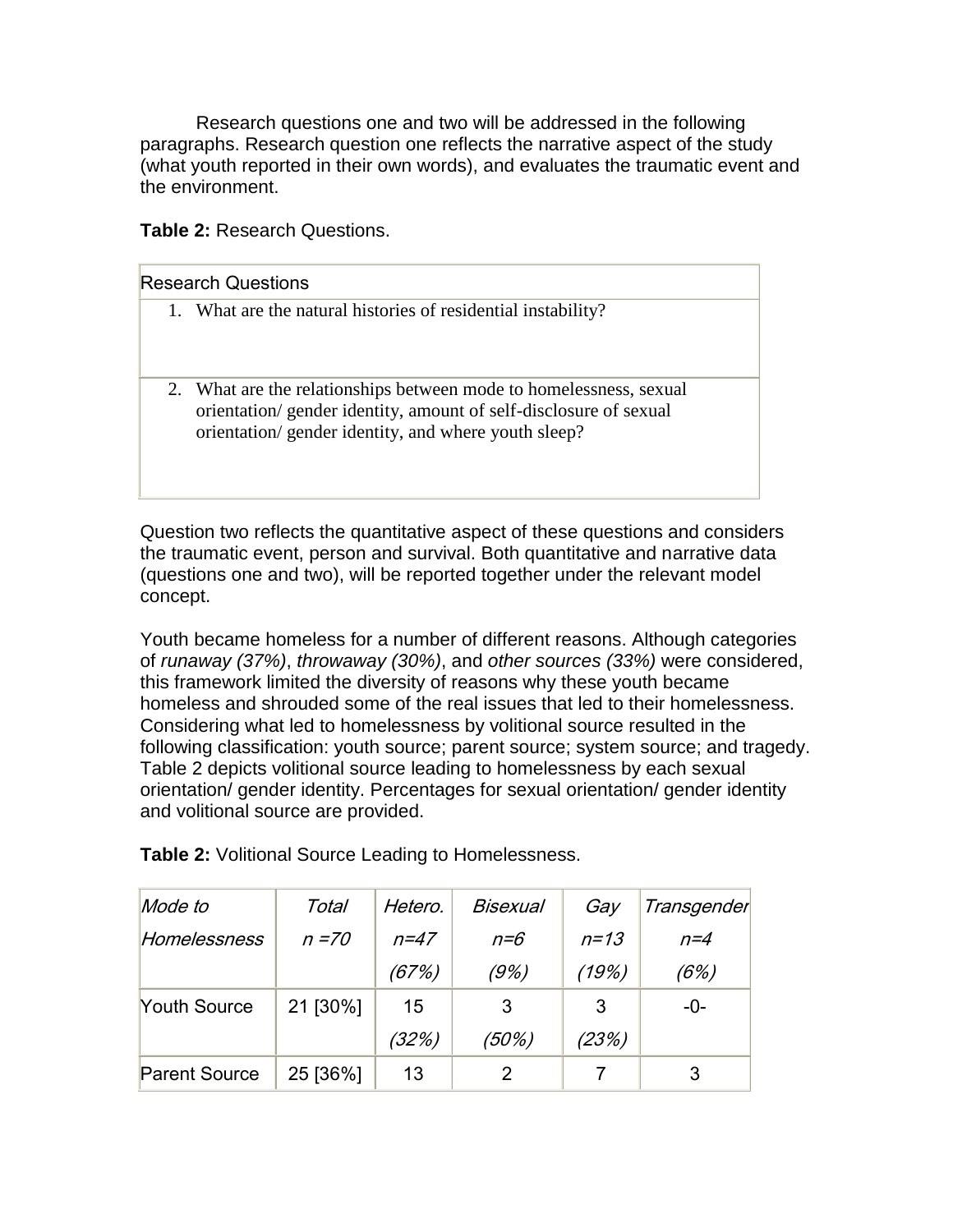Research questions one and two will be addressed in the following paragraphs. Research question one reflects the narrative aspect of the study (what youth reported in their own words), and evaluates the traumatic event and the environment.

## **Table 2:** Research Questions.

| <b>Research Questions</b> |                                                                                                                                                                                                |  |  |  |  |
|---------------------------|------------------------------------------------------------------------------------------------------------------------------------------------------------------------------------------------|--|--|--|--|
|                           | 1. What are the natural histories of residential instability?                                                                                                                                  |  |  |  |  |
|                           | 2. What are the relationships between mode to homelessness, sexual<br>orientation/gender identity, amount of self-disclosure of sexual<br>orientation/ gender identity, and where youth sleep? |  |  |  |  |

Question two reflects the quantitative aspect of these questions and considers the traumatic event, person and survival. Both quantitative and narrative data (questions one and two), will be reported together under the relevant model concept.

Youth became homeless for a number of different reasons. Although categories of *runaway (37%)*, *throwaway (30%)*, and *other sources (33%)* were considered, this framework limited the diversity of reasons why these youth became homeless and shrouded some of the real issues that led to their homelessness. Considering what led to homelessness by volitional source resulted in the following classification: youth source; parent source; system source; and tragedy. Table 2 depicts volitional source leading to homelessness by each sexual orientation/ gender identity. Percentages for sexual orientation/ gender identity and volitional source are provided.

| Mode to              | Total    | Hetero.  | <b>Bisexual</b> | Gay      | Transgender |
|----------------------|----------|----------|-----------------|----------|-------------|
| <b>Homelessness</b>  | $n = 70$ | $n = 47$ | $n = 6$         | $n = 13$ | $n = 4$     |
|                      |          | (67%)    | (9%)            | (19%)    | (6%)        |
| <b>Youth Source</b>  | 21 [30%] | 15       | 3               | 3        | -0-         |
|                      |          | (32%)    | (50%)           | (23%)    |             |
| <b>Parent Source</b> | 25 [36%] | 13       |                 |          | 3           |

**Table 2:** Volitional Source Leading to Homelessness.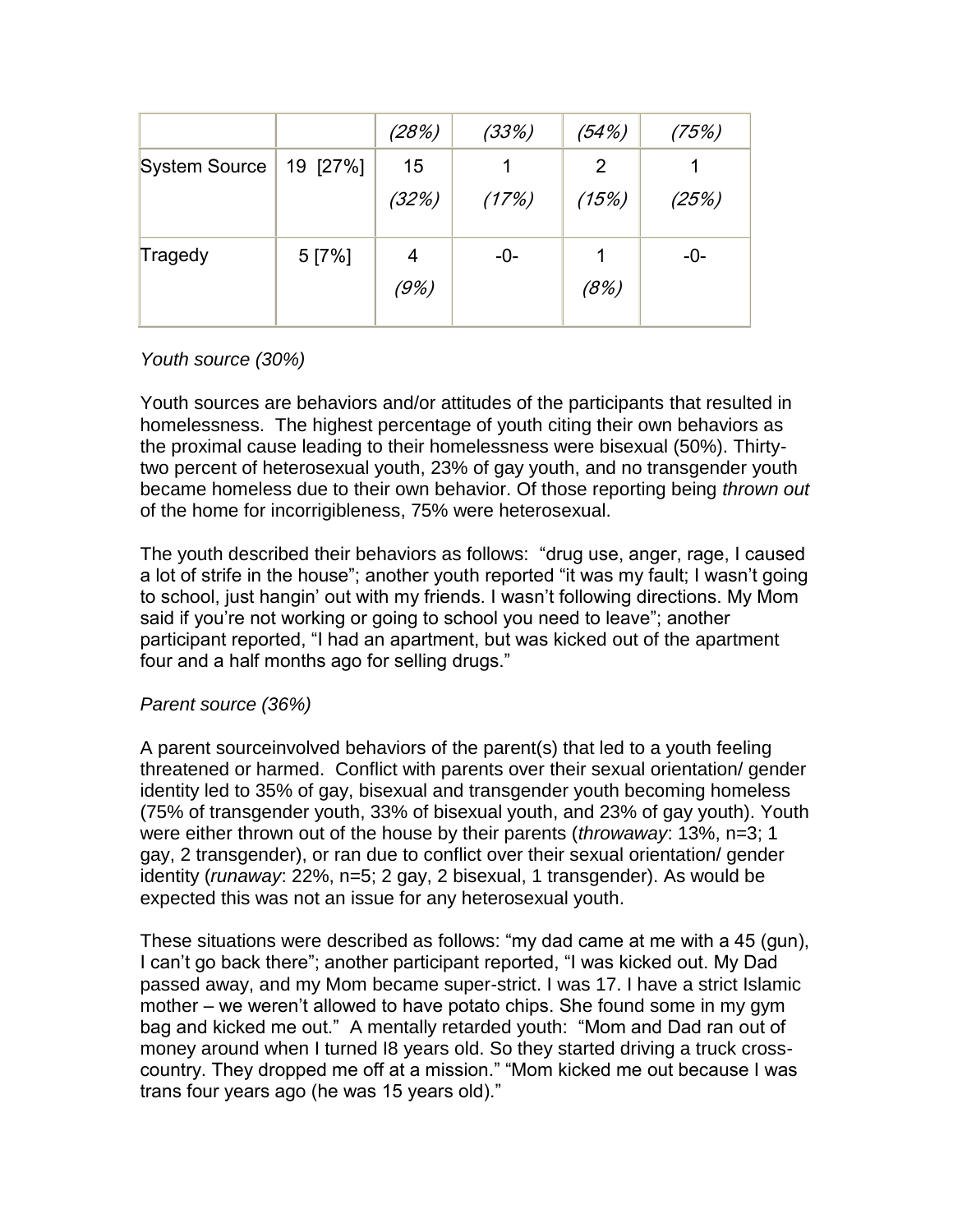|               |          | (28%)       | (33%) | (54%)      | (75%) |
|---------------|----------|-------------|-------|------------|-------|
| System Source | 19 [27%] | 15<br>(32%) | (17%) | 2<br>(15%) | (25%) |
| Tragedy       | 5 [7%]   | 4<br>(9%)   | $-0-$ | (8%)       | $-0-$ |

# *Youth source (30%)*

Youth sources are behaviors and/or attitudes of the participants that resulted in homelessness. The highest percentage of youth citing their own behaviors as the proximal cause leading to their homelessness were bisexual (50%). Thirtytwo percent of heterosexual youth, 23% of gay youth, and no transgender youth became homeless due to their own behavior. Of those reporting being *thrown out* of the home for incorrigibleness, 75% were heterosexual.

The youth described their behaviors as follows: "drug use, anger, rage, I caused a lot of strife in the house"; another youth reported "it was my fault; I wasn't going to school, just hangin' out with my friends. I wasn't following directions. My Mom said if you're not working or going to school you need to leave"; another participant reported, "I had an apartment, but was kicked out of the apartment four and a half months ago for selling drugs."

# *Parent source (36%)*

A parent sourceinvolved behaviors of the parent(s) that led to a youth feeling threatened or harmed. Conflict with parents over their sexual orientation/ gender identity led to 35% of gay, bisexual and transgender youth becoming homeless (75% of transgender youth, 33% of bisexual youth, and 23% of gay youth). Youth were either thrown out of the house by their parents (*throwaway*: 13%, n=3; 1 gay, 2 transgender), or ran due to conflict over their sexual orientation/ gender identity (*runaway*: 22%, n=5; 2 gay, 2 bisexual, 1 transgender). As would be expected this was not an issue for any heterosexual youth.

These situations were described as follows: "my dad came at me with a 45 (gun), I can't go back there"; another participant reported, "I was kicked out. My Dad passed away, and my Mom became super-strict. I was 17. I have a strict Islamic mother – we weren't allowed to have potato chips. She found some in my gym bag and kicked me out." A mentally retarded youth: "Mom and Dad ran out of money around when I turned I8 years old. So they started driving a truck crosscountry. They dropped me off at a mission." "Mom kicked me out because I was trans four years ago (he was 15 years old)."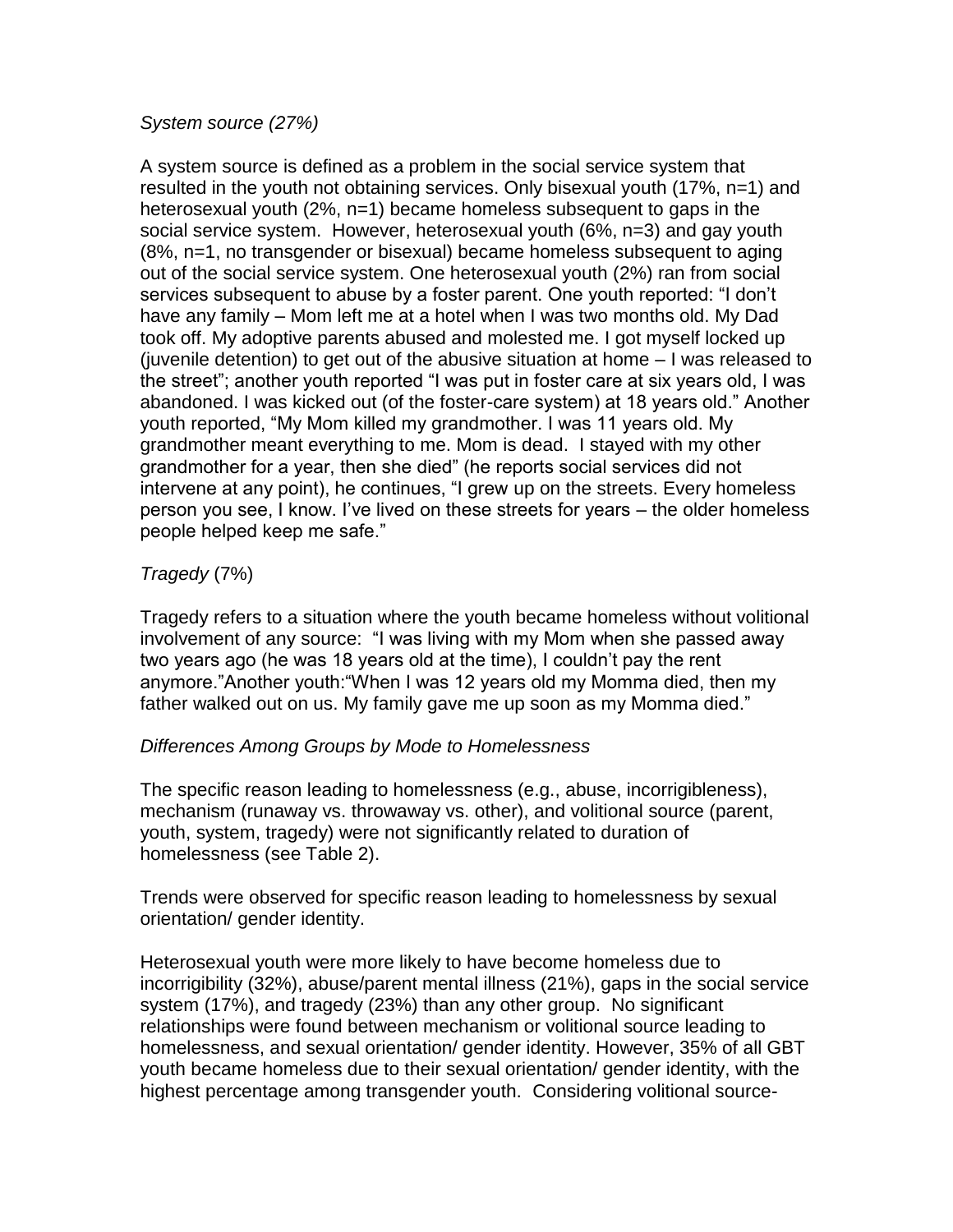#### *System source (27%)*

A system source is defined as a problem in the social service system that resulted in the youth not obtaining services. Only bisexual youth (17%, n=1) and heterosexual youth (2%, n=1) became homeless subsequent to gaps in the social service system. However, heterosexual youth (6%, n=3) and gay youth (8%, n=1, no transgender or bisexual) became homeless subsequent to aging out of the social service system. One heterosexual youth (2%) ran from social services subsequent to abuse by a foster parent. One youth reported: "I don't have any family – Mom left me at a hotel when I was two months old. My Dad took off. My adoptive parents abused and molested me. I got myself locked up (juvenile detention) to get out of the abusive situation at home – I was released to the street"; another youth reported "I was put in foster care at six years old, I was abandoned. I was kicked out (of the foster-care system) at 18 years old." Another youth reported, "My Mom killed my grandmother. I was 11 years old. My grandmother meant everything to me. Mom is dead. I stayed with my other grandmother for a year, then she died" (he reports social services did not intervene at any point), he continues, "I grew up on the streets. Every homeless person you see, I know. I've lived on these streets for years – the older homeless people helped keep me safe."

# *Tragedy* (7%)

Tragedy refers to a situation where the youth became homeless without volitional involvement of any source: "I was living with my Mom when she passed away two years ago (he was 18 years old at the time), I couldn't pay the rent anymore."Another youth:"When I was 12 years old my Momma died, then my father walked out on us. My family gave me up soon as my Momma died."

## *Differences Among Groups by Mode to Homelessness*

The specific reason leading to homelessness (e.g., abuse, incorrigibleness), mechanism (runaway vs. throwaway vs. other), and volitional source (parent, youth, system, tragedy) were not significantly related to duration of homelessness (see Table 2).

Trends were observed for specific reason leading to homelessness by sexual orientation/ gender identity.

Heterosexual youth were more likely to have become homeless due to incorrigibility (32%), abuse/parent mental illness (21%), gaps in the social service system (17%), and tragedy (23%) than any other group. No significant relationships were found between mechanism or volitional source leading to homelessness, and sexual orientation/ gender identity. However, 35% of all GBT youth became homeless due to their sexual orientation/ gender identity, with the highest percentage among transgender youth. Considering volitional source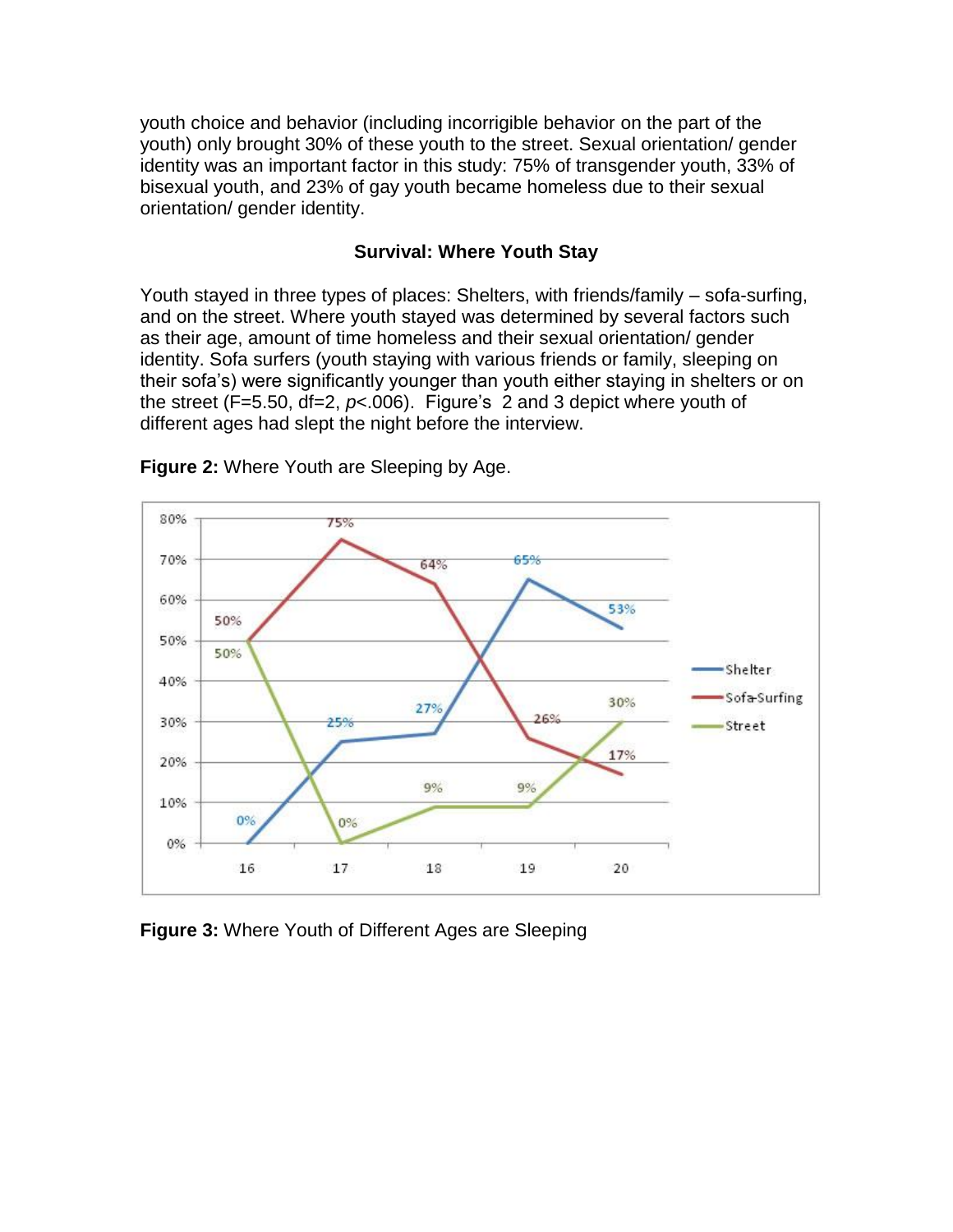youth choice and behavior (including incorrigible behavior on the part of the youth) only brought 30% of these youth to the street. Sexual orientation/ gender identity was an important factor in this study: 75% of transgender youth, 33% of bisexual youth, and 23% of gay youth became homeless due to their sexual orientation/ gender identity.

#### **Survival: Where Youth Stay**

Youth stayed in three types of places: Shelters, with friends/family – sofa-surfing, and on the street. Where youth stayed was determined by several factors such as their age, amount of time homeless and their sexual orientation/ gender identity. Sofa surfers (youth staying with various friends or family, sleeping on their sofa's) were significantly younger than youth either staying in shelters or on the street (F=5.50, df=2, *p*<.006). Figure's 2 and 3 depict where youth of different ages had slept the night before the interview.



**Figure 2:** Where Youth are Sleeping by Age.

**Figure 3:** Where Youth of Different Ages are Sleeping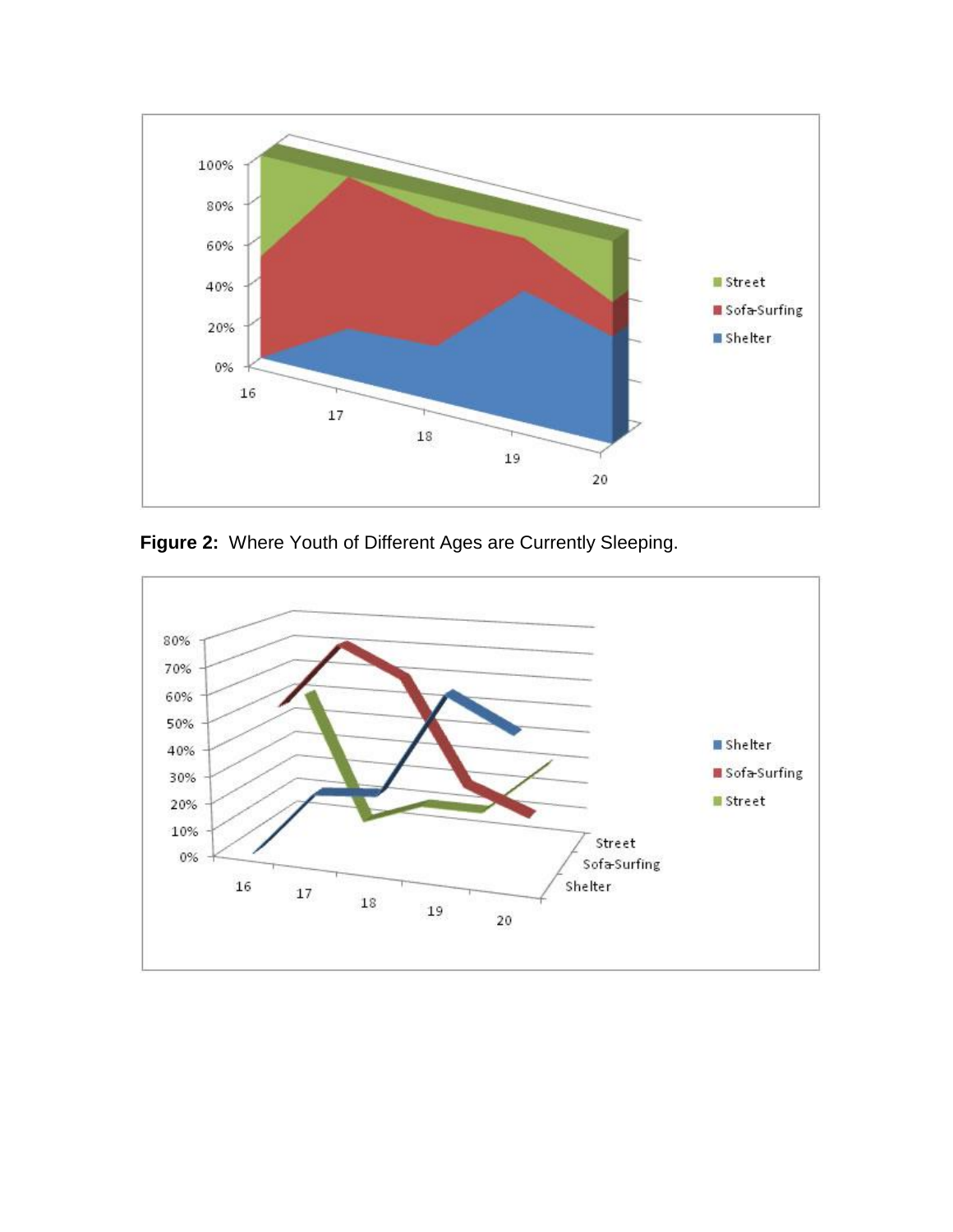

**Figure 2:** Where Youth of Different Ages are Currently Sleeping.

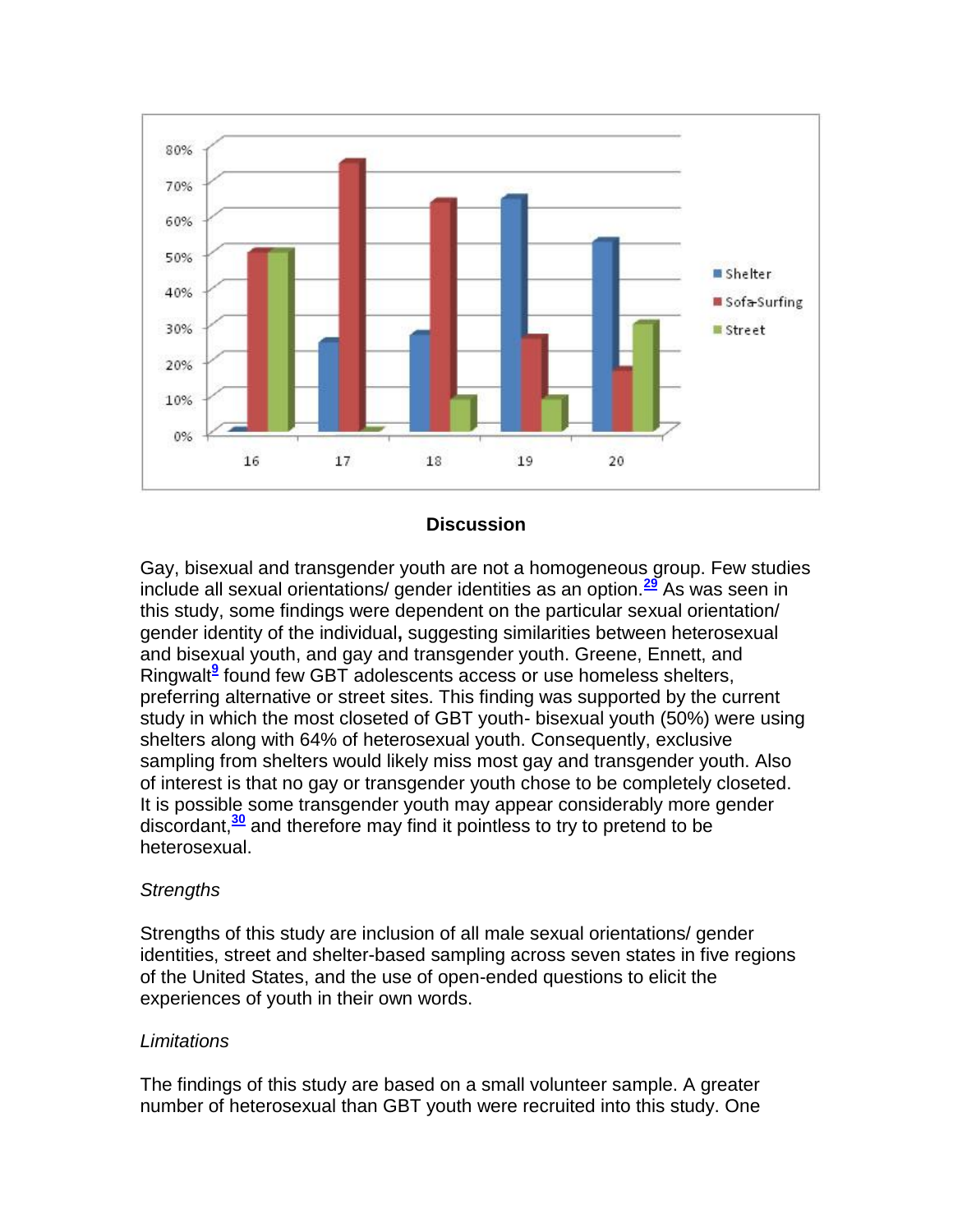

#### **Discussion**

Gay, bisexual and transgender youth are not a homogeneous group. Few studies include all sexual orientations/ gender identities as an option.**[29](http://snrs.org/publications/SOJNR_articles2/n)** As was seen in this study, some findings were dependent on the particular sexual orientation/ gender identity of the individual**,** suggesting similarities between heterosexual and bisexual youth, and gay and transgender youth. Greene, Ennett, and Ringwalt**[9](http://snrs.org/publications/SOJNR_articles2/n)** found few GBT adolescents access or use homeless shelters, preferring alternative or street sites. This finding was supported by the current study in which the most closeted of GBT youth- bisexual youth (50%) were using shelters along with 64% of heterosexual youth. Consequently, exclusive sampling from shelters would likely miss most gay and transgender youth. Also of interest is that no gay or transgender youth chose to be completely closeted. It is possible some transgender youth may appear considerably more gender discordant,**[30](http://snrs.org/publications/SOJNR_articles2/n)** and therefore may find it pointless to try to pretend to be heterosexual.

## *Strengths*

Strengths of this study are inclusion of all male sexual orientations/ gender identities, street and shelter-based sampling across seven states in five regions of the United States, and the use of open-ended questions to elicit the experiences of youth in their own words.

#### *Limitations*

The findings of this study are based on a small volunteer sample. A greater number of heterosexual than GBT youth were recruited into this study. One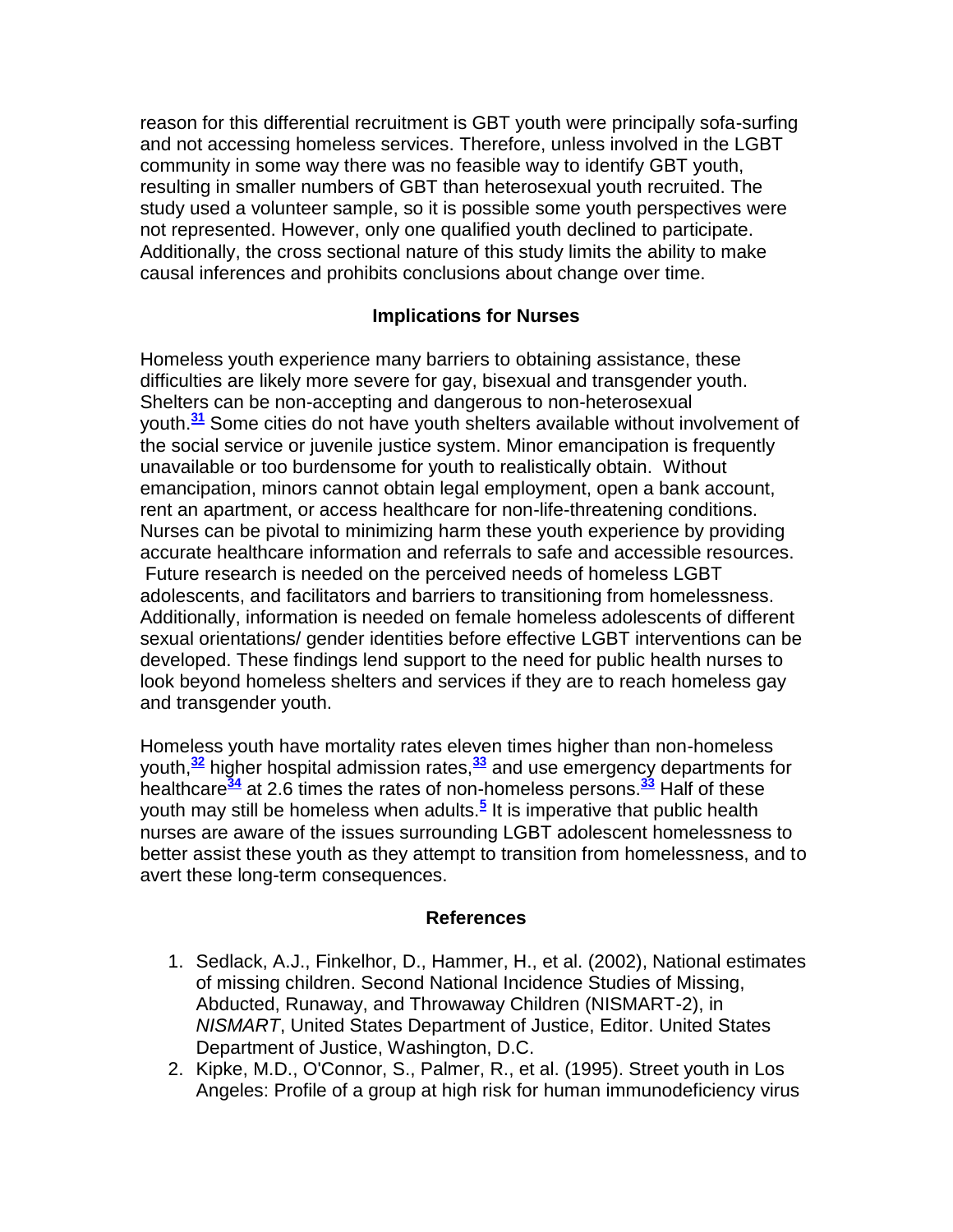reason for this differential recruitment is GBT youth were principally sofa-surfing and not accessing homeless services. Therefore, unless involved in the LGBT community in some way there was no feasible way to identify GBT youth, resulting in smaller numbers of GBT than heterosexual youth recruited. The study used a volunteer sample, so it is possible some youth perspectives were not represented. However, only one qualified youth declined to participate. Additionally, the cross sectional nature of this study limits the ability to make causal inferences and prohibits conclusions about change over time.

# **Implications for Nurses**

Homeless youth experience many barriers to obtaining assistance, these difficulties are likely more severe for gay, bisexual and transgender youth. Shelters can be non-accepting and dangerous to non-heterosexual youth.**[31](http://snrs.org/publications/SOJNR_articles2/n)** Some cities do not have youth shelters available without involvement of the social service or juvenile justice system. Minor emancipation is frequently unavailable or too burdensome for youth to realistically obtain. Without emancipation, minors cannot obtain legal employment, open a bank account, rent an apartment, or access healthcare for non-life-threatening conditions. Nurses can be pivotal to minimizing harm these youth experience by providing accurate healthcare information and referrals to safe and accessible resources. Future research is needed on the perceived needs of homeless LGBT adolescents, and facilitators and barriers to transitioning from homelessness. Additionally, information is needed on female homeless adolescents of different sexual orientations/ gender identities before effective LGBT interventions can be developed. These findings lend support to the need for public health nurses to look beyond homeless shelters and services if they are to reach homeless gay and transgender youth.

Homeless youth have mortality rates eleven times higher than non-homeless youth,**[32](http://snrs.org/publications/SOJNR_articles2/n)** higher hospital admission rates,**[33](http://snrs.org/publications/SOJNR_articles2/n)** and use emergency departments for healthcare**[34](http://snrs.org/publications/SOJNR_articles2/n)** at 2.6 times the rates of non-homeless persons.**[33](http://snrs.org/publications/SOJNR_articles2/n)** Half of these youth may still be homeless when adults.**[5](http://snrs.org/publications/SOJNR_articles2/n)** It is imperative that public health nurses are aware of the issues surrounding LGBT adolescent homelessness to better assist these youth as they attempt to transition from homelessness, and to avert these long-term consequences.

#### **References**

- 1. Sedlack, A.J., Finkelhor, D., Hammer, H., et al. (2002), National estimates of missing children. Second National Incidence Studies of Missing, Abducted, Runaway, and Throwaway Children (NISMART-2), in *NISMART*, United States Department of Justice, Editor. United States Department of Justice, Washington, D.C.
- 2. Kipke, M.D., O'Connor, S., Palmer, R., et al. (1995). Street youth in Los Angeles: Profile of a group at high risk for human immunodeficiency virus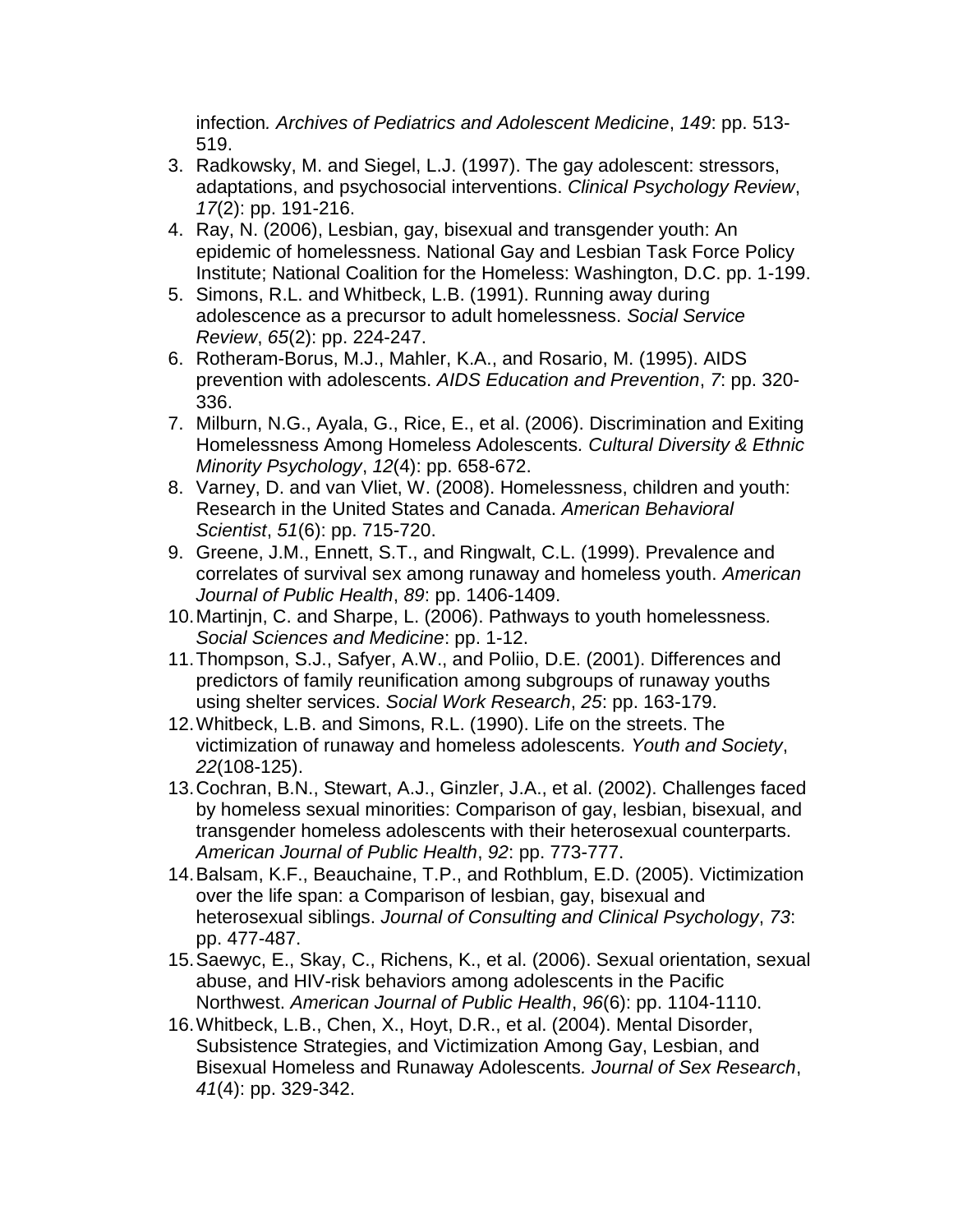infection*. Archives of Pediatrics and Adolescent Medicine*, *149*: pp. 513- 519.

- 3. Radkowsky, M. and Siegel, L.J. (1997). The gay adolescent: stressors, adaptations, and psychosocial interventions. *Clinical Psychology Review*, *17*(2): pp. 191-216.
- 4. Ray, N. (2006), Lesbian, gay, bisexual and transgender youth: An epidemic of homelessness. National Gay and Lesbian Task Force Policy Institute; National Coalition for the Homeless: Washington, D.C. pp. 1-199.
- 5. Simons, R.L. and Whitbeck, L.B. (1991). Running away during adolescence as a precursor to adult homelessness. *Social Service Review*, *65*(2): pp. 224-247.
- 6. Rotheram-Borus, M.J., Mahler, K.A., and Rosario, M. (1995). AIDS prevention with adolescents. *AIDS Education and Prevention*, *7*: pp. 320- 336.
- 7. Milburn, N.G., Ayala, G., Rice, E., et al. (2006). Discrimination and Exiting Homelessness Among Homeless Adolescents*. Cultural Diversity & Ethnic Minority Psychology*, *12*(4): pp. 658-672.
- 8. Varney, D. and van Vliet, W. (2008). Homelessness, children and youth: Research in the United States and Canada. *American Behavioral Scientist*, *51*(6): pp. 715-720.
- 9. Greene, J.M., Ennett, S.T., and Ringwalt, C.L. (1999). Prevalence and correlates of survival sex among runaway and homeless youth. *American Journal of Public Health*, *89*: pp. 1406-1409.
- 10.Martinjn, C. and Sharpe, L. (2006). Pathways to youth homelessness*. Social Sciences and Medicine*: pp. 1-12.
- 11.Thompson, S.J., Safyer, A.W., and Poliio, D.E. (2001). Differences and predictors of family reunification among subgroups of runaway youths using shelter services. *Social Work Research*, *25*: pp. 163-179.
- 12.Whitbeck, L.B. and Simons, R.L. (1990). Life on the streets. The victimization of runaway and homeless adolescents*. Youth and Society*, *22*(108-125).
- 13.Cochran, B.N., Stewart, A.J., Ginzler, J.A., et al. (2002). Challenges faced by homeless sexual minorities: Comparison of gay, lesbian, bisexual, and transgender homeless adolescents with their heterosexual counterparts. *American Journal of Public Health*, *92*: pp. 773-777.
- 14.Balsam, K.F., Beauchaine, T.P., and Rothblum, E.D. (2005). Victimization over the life span: a Comparison of lesbian, gay, bisexual and heterosexual siblings. *Journal of Consulting and Clinical Psychology*, *73*: pp. 477-487.
- 15.Saewyc, E., Skay, C., Richens, K., et al. (2006). Sexual orientation, sexual abuse, and HIV-risk behaviors among adolescents in the Pacific Northwest. *American Journal of Public Health*, *96*(6): pp. 1104-1110.
- 16.Whitbeck, L.B., Chen, X., Hoyt, D.R., et al. (2004). Mental Disorder, Subsistence Strategies, and Victimization Among Gay, Lesbian, and Bisexual Homeless and Runaway Adolescents*. Journal of Sex Research*, *41*(4): pp. 329-342.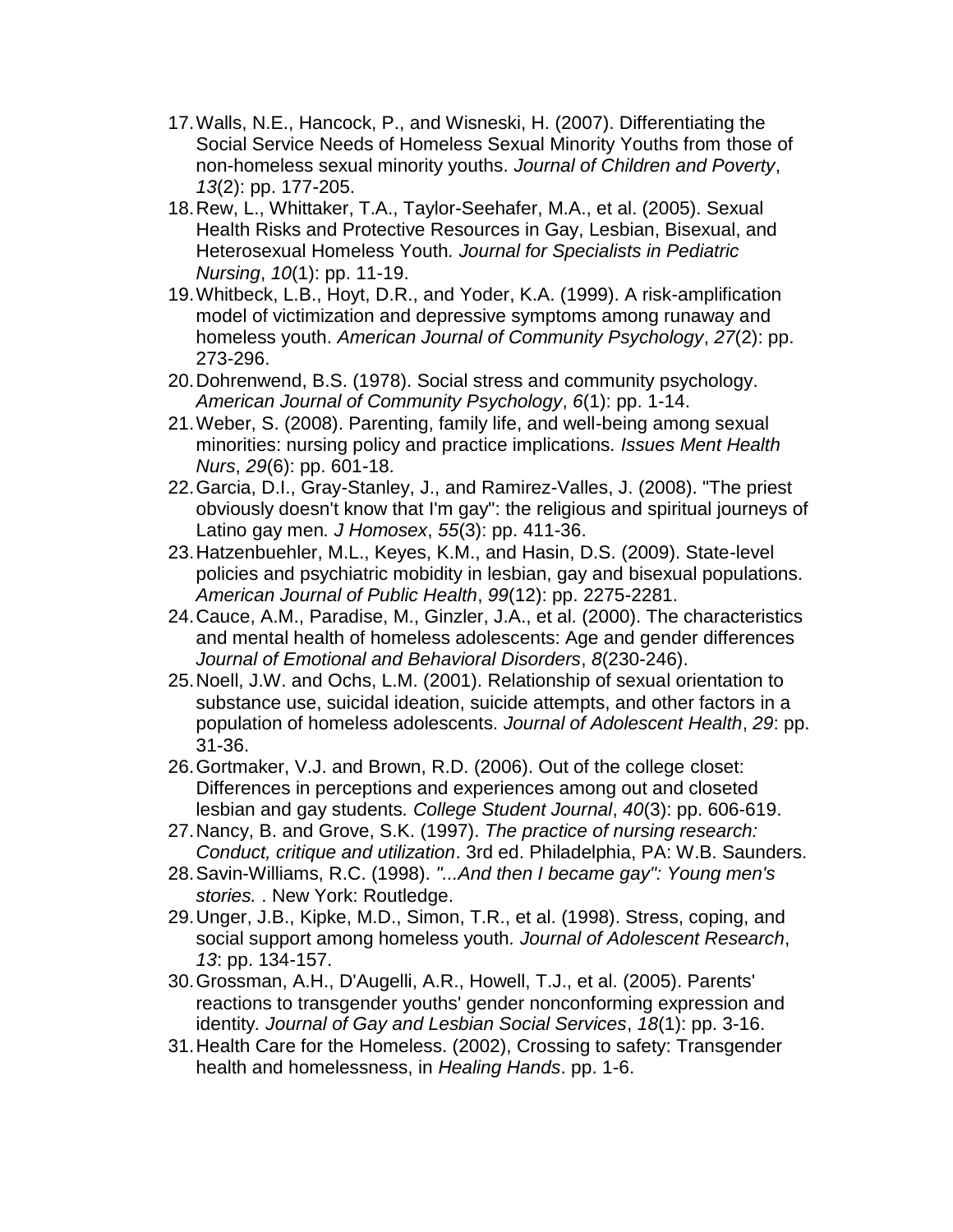- 17.Walls, N.E., Hancock, P., and Wisneski, H. (2007). Differentiating the Social Service Needs of Homeless Sexual Minority Youths from those of non-homeless sexual minority youths. *Journal of Children and Poverty*, *13*(2): pp. 177-205.
- 18.Rew, L., Whittaker, T.A., Taylor-Seehafer, M.A., et al. (2005). Sexual Health Risks and Protective Resources in Gay, Lesbian, Bisexual, and Heterosexual Homeless Youth*. Journal for Specialists in Pediatric Nursing*, *10*(1): pp. 11-19.
- 19.Whitbeck, L.B., Hoyt, D.R., and Yoder, K.A. (1999). A risk-amplification model of victimization and depressive symptoms among runaway and homeless youth. *American Journal of Community Psychology*, *27*(2): pp. 273-296.
- 20.Dohrenwend, B.S. (1978). Social stress and community psychology. *American Journal of Community Psychology*, *6*(1): pp. 1-14.
- 21.Weber, S. (2008). Parenting, family life, and well-being among sexual minorities: nursing policy and practice implications*. Issues Ment Health Nurs*, *29*(6): pp. 601-18.
- 22.Garcia, D.I., Gray-Stanley, J., and Ramirez-Valles, J. (2008). "The priest obviously doesn't know that I'm gay": the religious and spiritual journeys of Latino gay men*. J Homosex*, *55*(3): pp. 411-36.
- 23.Hatzenbuehler, M.L., Keyes, K.M., and Hasin, D.S. (2009). State-level policies and psychiatric mobidity in lesbian, gay and bisexual populations*. American Journal of Public Health*, *99*(12): pp. 2275-2281.
- 24.Cauce, A.M., Paradise, M., Ginzler, J.A., et al. (2000). The characteristics and mental health of homeless adolescents: Age and gender differences *Journal of Emotional and Behavioral Disorders*, *8*(230-246).
- 25.Noell, J.W. and Ochs, L.M. (2001). Relationship of sexual orientation to substance use, suicidal ideation, suicide attempts, and other factors in a population of homeless adolescents. *Journal of Adolescent Health*, *29*: pp. 31-36.
- 26.Gortmaker, V.J. and Brown, R.D. (2006). Out of the college closet: Differences in perceptions and experiences among out and closeted lesbian and gay students*. College Student Journal*, *40*(3): pp. 606-619.
- 27.Nancy, B. and Grove, S.K. (1997). *The practice of nursing research: Conduct, critique and utilization*. 3rd ed. Philadelphia, PA: W.B. Saunders.
- 28.Savin-Williams, R.C. (1998). *"...And then I became gay": Young men's stories.* . New York: Routledge.
- 29.Unger, J.B., Kipke, M.D., Simon, T.R., et al. (1998). Stress, coping, and social support among homeless youth*. Journal of Adolescent Research*, *13*: pp. 134-157.
- 30.Grossman, A.H., D'Augelli, A.R., Howell, T.J., et al. (2005). Parents' reactions to transgender youths' gender nonconforming expression and identity*. Journal of Gay and Lesbian Social Services*, *18*(1): pp. 3-16.
- 31.Health Care for the Homeless. (2002), Crossing to safety: Transgender health and homelessness, in *Healing Hands*. pp. 1-6.